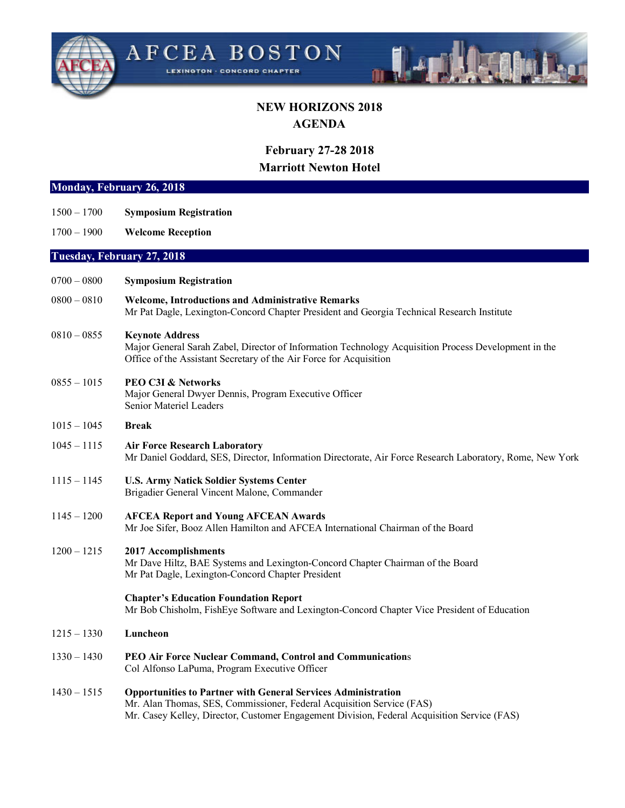

# **NEW HORIZONS 2018 AGENDA**

# **February 27-28 2018 Marriott Newton Hotel**

# **Monday, February 26, 2018**

- 1500 1700 **Symposium Registration**
- 1700 1900 **Welcome Reception**

# **Tuesday, February 27, 2018**

- 0700 0800 **Symposium Registration**
- 0800 0810 **Welcome, Introductions and Administrative Remarks** Mr Pat Dagle, Lexington-Concord Chapter President and Georgia Technical Research Institute
- 0810 0855 **Keynote Address** Major General Sarah Zabel, Director of Information Technology Acquisition Process Development in the Office of the Assistant Secretary of the Air Force for Acquisition
- 0855 1015 **PEO C3I & Networks** Major General Dwyer Dennis, Program Executive Officer Senior Materiel Leaders
- 1015 1045 **Break**
- 1045 1115 **Air Force Research Laboratory** Mr Daniel Goddard, SES, Director, Information Directorate, Air Force Research Laboratory, Rome, New York
- 1115 1145 **U.S. Army Natick Soldier Systems Center** Brigadier General Vincent Malone, Commander
- 1145 1200 **AFCEA Report and Young AFCEAN Awards** Mr Joe Sifer, Booz Allen Hamilton and AFCEA International Chairman of the Board
- 1200 1215 **2017 Accomplishments** Mr Dave Hiltz, BAE Systems and Lexington-Concord Chapter Chairman of the Board Mr Pat Dagle, Lexington-Concord Chapter President

#### **Chapter's Education Foundation Report**

Mr Bob Chisholm, FishEye Software and Lexington-Concord Chapter Vice President of Education

- 1215 1330 **Luncheon**
- 1330 1430 **PEO Air Force Nuclear Command, Control and Communication**s Col Alfonso LaPuma, Program Executive Officer
- 1430 1515 **Opportunities to Partner with General Services Administration** Mr. Alan Thomas, SES, Commissioner, Federal Acquisition Service (FAS) Mr. Casey Kelley, Director, Customer Engagement Division, Federal Acquisition Service (FAS)